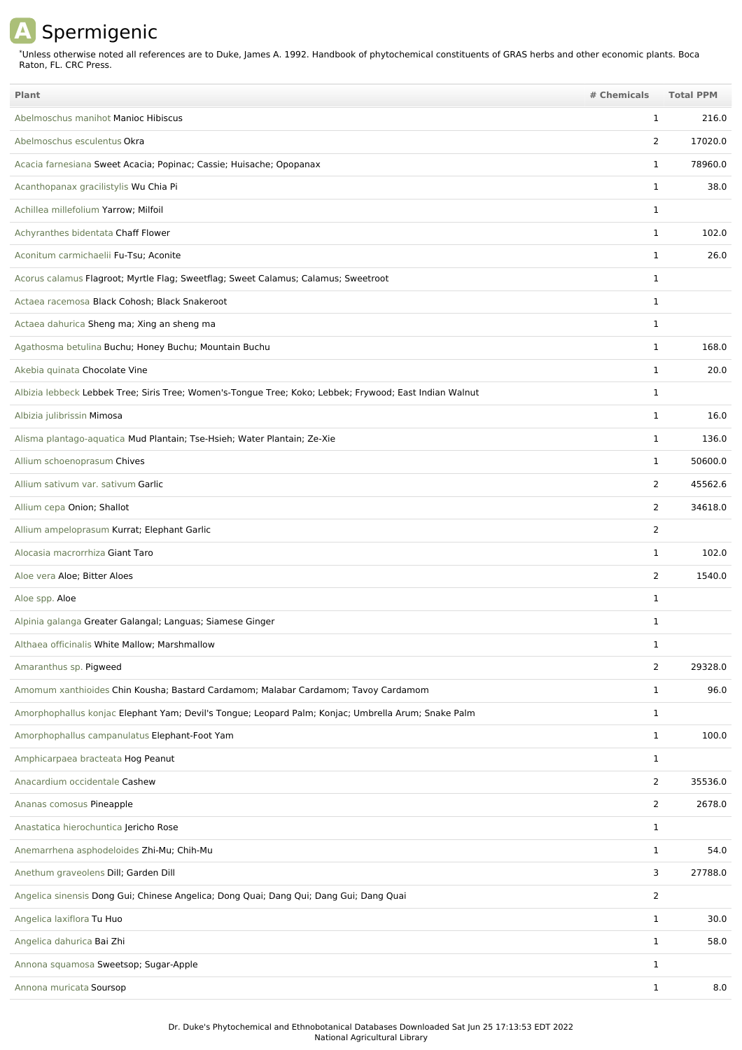## **A** Spermigenic

Unless otherwise noted all references are to Duke, James A. 1992. Handbook of phytochemical constituents of GRAS herbs and other economic plants. Boca Raton, FL. CRC Press. \*

| <b>Plant</b>                                                                                            | # Chemicals    | <b>Total PPM</b> |
|---------------------------------------------------------------------------------------------------------|----------------|------------------|
| Abelmoschus manihot Manioc Hibiscus                                                                     | 1              | 216.0            |
| Abelmoschus esculentus Okra                                                                             | 2              | 17020.0          |
| Acacia farnesiana Sweet Acacia; Popinac; Cassie; Huisache; Opopanax                                     | $\mathbf{1}$   | 78960.0          |
| Acanthopanax gracilistylis Wu Chia Pi                                                                   | $\mathbf{1}$   | 38.0             |
| Achillea millefolium Yarrow; Milfoil                                                                    | $\mathbf 1$    |                  |
| Achyranthes bidentata Chaff Flower                                                                      | $\mathbf{1}$   | 102.0            |
| Aconitum carmichaelii Fu-Tsu; Aconite                                                                   | 1              | 26.0             |
| Acorus calamus Flagroot; Myrtle Flag; Sweetflag; Sweet Calamus; Calamus; Sweetroot                      | $\mathbf 1$    |                  |
| Actaea racemosa Black Cohosh; Black Snakeroot                                                           | 1              |                  |
| Actaea dahurica Sheng ma; Xing an sheng ma                                                              | $\mathbf{1}$   |                  |
| Agathosma betulina Buchu; Honey Buchu; Mountain Buchu                                                   | 1              | 168.0            |
| Akebia quinata Chocolate Vine                                                                           | 1              | 20.0             |
| Albizia lebbeck Lebbek Tree; Siris Tree; Women's-Tongue Tree; Koko; Lebbek; Frywood; East Indian Walnut | $\mathbf 1$    |                  |
| Albizia julibrissin Mimosa                                                                              | $\mathbf 1$    | 16.0             |
| Alisma plantago-aquatica Mud Plantain; Tse-Hsieh; Water Plantain; Ze-Xie                                | 1              | 136.0            |
| Allium schoenoprasum Chives                                                                             | $\mathbf{1}$   | 50600.0          |
| Allium sativum var. sativum Garlic                                                                      | $\overline{2}$ | 45562.6          |
| Allium cepa Onion; Shallot                                                                              | 2              | 34618.0          |
| Allium ampeloprasum Kurrat; Elephant Garlic                                                             | 2              |                  |
| Alocasia macrorrhiza Giant Taro                                                                         | 1              | 102.0            |
| Aloe vera Aloe; Bitter Aloes                                                                            | $\overline{2}$ | 1540.0           |
| Aloe spp. Aloe                                                                                          | $\mathbf{1}$   |                  |
| Alpinia galanga Greater Galangal; Languas; Siamese Ginger                                               | $\mathbf 1$    |                  |
| Althaea officinalis White Mallow; Marshmallow                                                           | 1              |                  |
| Amaranthus sp. Pigweed                                                                                  | $\overline{2}$ | 29328.0          |
| Amomum xanthioides Chin Kousha; Bastard Cardamom; Malabar Cardamom; Tavoy Cardamom                      | $\mathbf{1}$   | 96.0             |
| Amorphophallus konjac Elephant Yam; Devil's Tongue; Leopard Palm; Konjac; Umbrella Arum; Snake Palm     | $\mathbf{1}$   |                  |
| Amorphophallus campanulatus Elephant-Foot Yam                                                           | $\mathbf{1}$   | 100.0            |
| Amphicarpaea bracteata Hog Peanut                                                                       | $\mathbf{1}$   |                  |
| Anacardium occidentale Cashew                                                                           | $\overline{2}$ | 35536.0          |
| Ananas comosus Pineapple                                                                                | $\overline{2}$ | 2678.0           |
| Anastatica hierochuntica Jericho Rose                                                                   | $\mathbf{1}$   |                  |
| Anemarrhena asphodeloides Zhi-Mu; Chih-Mu                                                               | $\mathbf{1}$   | 54.0             |
| Anethum graveolens Dill; Garden Dill                                                                    | 3              | 27788.0          |
| Angelica sinensis Dong Gui; Chinese Angelica; Dong Quai; Dang Qui; Dang Gui; Dang Quai                  | $\overline{2}$ |                  |
| Angelica laxiflora Tu Huo                                                                               | $\mathbf{1}$   | 30.0             |
| Angelica dahurica Bai Zhi                                                                               | $\mathbf{1}$   | 58.0             |
| Annona squamosa Sweetsop; Sugar-Apple                                                                   | $\mathbf{1}$   |                  |
| Annona muricata Soursop                                                                                 | $\mathbf{1}$   | 8.0              |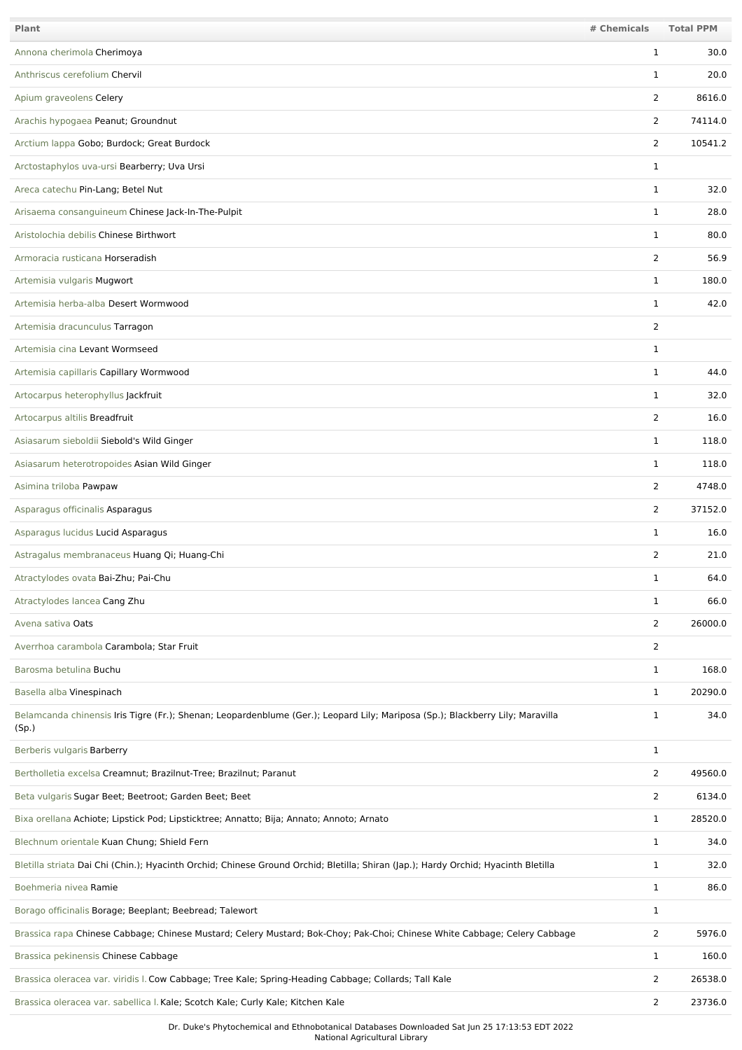| Plant                                                                                                                                   | # Chemicals    | <b>Total PPM</b> |
|-----------------------------------------------------------------------------------------------------------------------------------------|----------------|------------------|
| Annona cherimola Cherimoya                                                                                                              | $\mathbf 1$    | 30.0             |
| Anthriscus cerefolium Chervil                                                                                                           | 1              | 20.0             |
| Apium graveolens Celery                                                                                                                 | 2              | 8616.0           |
| Arachis hypogaea Peanut; Groundnut                                                                                                      | 2              | 74114.0          |
| Arctium lappa Gobo; Burdock; Great Burdock                                                                                              | 2              | 10541.2          |
| Arctostaphylos uva-ursi Bearberry; Uva Ursi                                                                                             | $\mathbf 1$    |                  |
| Areca catechu Pin-Lang; Betel Nut                                                                                                       | $\mathbf 1$    | 32.0             |
| Arisaema consanguineum Chinese Jack-In-The-Pulpit                                                                                       | $\mathbf 1$    | 28.0             |
| Aristolochia debilis Chinese Birthwort                                                                                                  | $\mathbf{1}$   | 80.0             |
| Armoracia rusticana Horseradish                                                                                                         | $\overline{2}$ | 56.9             |
| Artemisia vulgaris Mugwort                                                                                                              | $\mathbf 1$    | 180.0            |
| Artemisia herba-alba Desert Wormwood                                                                                                    | $\mathbf 1$    | 42.0             |
| Artemisia dracunculus Tarragon                                                                                                          | $\overline{2}$ |                  |
| Artemisia cina Levant Wormseed                                                                                                          | 1              |                  |
| Artemisia capillaris Capillary Wormwood                                                                                                 | $\mathbf 1$    | 44.0             |
| Artocarpus heterophyllus Jackfruit                                                                                                      | $\mathbf 1$    | 32.0             |
| Artocarpus altilis Breadfruit                                                                                                           | 2              | 16.0             |
| Asiasarum sieboldii Siebold's Wild Ginger                                                                                               | $\mathbf{1}$   | 118.0            |
| Asiasarum heterotropoides Asian Wild Ginger                                                                                             | $\mathbf{1}$   | 118.0            |
| Asimina triloba Pawpaw                                                                                                                  | $\overline{2}$ | 4748.0           |
| Asparagus officinalis Asparagus                                                                                                         | 2              | 37152.0          |
| Asparagus lucidus Lucid Asparagus                                                                                                       | $\mathbf 1$    | 16.0             |
| Astragalus membranaceus Huang Qi; Huang-Chi                                                                                             | 2              | 21.0             |
| Atractylodes ovata Bai-Zhu; Pai-Chu                                                                                                     | 1              | 64.0             |
| Atractylodes lancea Cang Zhu                                                                                                            | $\mathbf{1}$   | 66.0             |
| Avena sativa Oats                                                                                                                       | $\overline{2}$ | 26000.0          |
| Averrhoa carambola Carambola; Star Fruit                                                                                                | $\overline{2}$ |                  |
| Barosma betulina Buchu                                                                                                                  | $\mathbf{1}$   | 168.0            |
| Basella alba Vinespinach                                                                                                                | $\mathbf{1}$   | 20290.0          |
| Belamcanda chinensis Iris Tigre (Fr.); Shenan; Leopardenblume (Ger.); Leopard Lily; Mariposa (Sp.); Blackberry Lily; Maravilla<br>(Sp.) | 1              | 34.0             |
| Berberis vulgaris Barberry                                                                                                              | $\mathbf{1}$   |                  |
| Bertholletia excelsa Creamnut; Brazilnut-Tree; Brazilnut; Paranut                                                                       | 2              | 49560.0          |
| Beta vulgaris Sugar Beet; Beetroot; Garden Beet; Beet                                                                                   | $\overline{2}$ | 6134.0           |
| Bixa orellana Achiote; Lipstick Pod; Lipsticktree; Annatto; Bija; Annato; Annoto; Arnato                                                | $\mathbf{1}$   | 28520.0          |
| Blechnum orientale Kuan Chung; Shield Fern                                                                                              | $\mathbf{1}$   | 34.0             |
| Bletilla striata Dai Chi (Chin.); Hyacinth Orchid; Chinese Ground Orchid; Bletilla; Shiran (Jap.); Hardy Orchid; Hyacinth Bletilla      | 1              | 32.0             |
| Boehmeria nivea Ramie                                                                                                                   | 1              | 86.0             |
| Borago officinalis Borage; Beeplant; Beebread; Talewort                                                                                 | $\mathbf 1$    |                  |
| Brassica rapa Chinese Cabbage; Chinese Mustard; Celery Mustard; Bok-Choy; Pak-Choi; Chinese White Cabbage; Celery Cabbage               | $\overline{2}$ | 5976.0           |
| Brassica pekinensis Chinese Cabbage                                                                                                     | $\mathbf 1$    | 160.0            |
| Brassica oleracea var. viridis I. Cow Cabbage; Tree Kale; Spring-Heading Cabbage; Collards; Tall Kale                                   | $\overline{2}$ | 26538.0          |
| Brassica oleracea var. sabellica I. Kale; Scotch Kale; Curly Kale; Kitchen Kale                                                         | $\overline{2}$ | 23736.0          |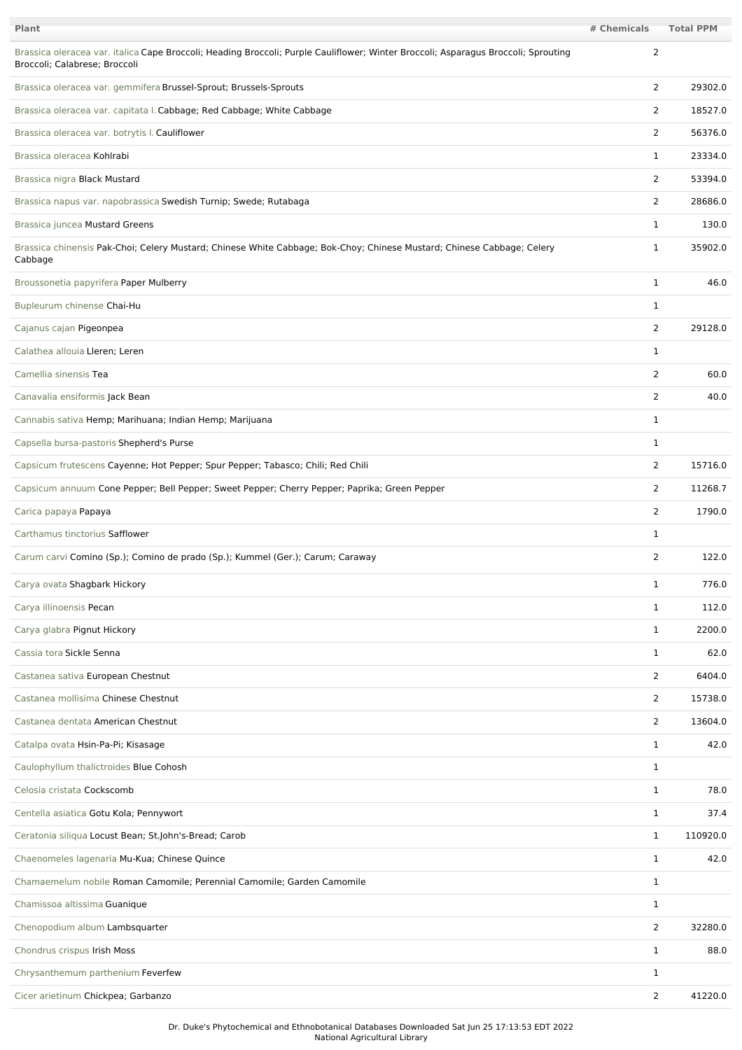| Plant                                                                                                                                                               | # Chemicals    | <b>Total PPM</b> |
|---------------------------------------------------------------------------------------------------------------------------------------------------------------------|----------------|------------------|
| Brassica oleracea var. italica Cape Broccoli; Heading Broccoli; Purple Cauliflower; Winter Broccoli; Asparagus Broccoli; Sprouting<br>Broccoli; Calabrese; Broccoli | $\overline{2}$ |                  |
| Brassica oleracea var. gemmifera Brussel-Sprout; Brussels-Sprouts                                                                                                   | $\overline{2}$ | 29302.0          |
| Brassica oleracea var. capitata I. Cabbage; Red Cabbage; White Cabbage                                                                                              | 2              | 18527.0          |
| Brassica oleracea var. botrytis I. Cauliflower                                                                                                                      | $\overline{2}$ | 56376.0          |
| Brassica oleracea Kohlrabi                                                                                                                                          | 1              | 23334.0          |
| Brassica nigra Black Mustard                                                                                                                                        | 2              | 53394.0          |
| Brassica napus var. napobrassica Swedish Turnip; Swede; Rutabaga                                                                                                    | $\overline{2}$ | 28686.0          |
| Brassica juncea Mustard Greens                                                                                                                                      | 1              | 130.0            |
| Brassica chinensis Pak-Choi; Celery Mustard; Chinese White Cabbage; Bok-Choy; Chinese Mustard; Chinese Cabbage; Celery<br>Cabbage                                   | 1              | 35902.0          |
| Broussonetia papyrifera Paper Mulberry                                                                                                                              | 1              | 46.0             |
| Bupleurum chinense Chai-Hu                                                                                                                                          | 1              |                  |
| Cajanus cajan Pigeonpea                                                                                                                                             | $\overline{2}$ | 29128.0          |
| Calathea allouia Lleren; Leren                                                                                                                                      | $\mathbf 1$    |                  |
| Camellia sinensis Tea                                                                                                                                               | 2              | 60.0             |
| Canavalia ensiformis Jack Bean                                                                                                                                      | 2              | 40.0             |
| Cannabis sativa Hemp; Marihuana; Indian Hemp; Marijuana                                                                                                             | 1              |                  |
| Capsella bursa-pastoris Shepherd's Purse                                                                                                                            | 1              |                  |
| Capsicum frutescens Cayenne; Hot Pepper; Spur Pepper; Tabasco; Chili; Red Chili                                                                                     | $\overline{2}$ | 15716.0          |
| Capsicum annuum Cone Pepper; Bell Pepper; Sweet Pepper; Cherry Pepper; Paprika; Green Pepper                                                                        | $\overline{2}$ | 11268.7          |
| Carica papaya Papaya                                                                                                                                                | $\overline{2}$ | 1790.0           |
| Carthamus tinctorius Safflower                                                                                                                                      | 1              |                  |
| Carum carvi Comino (Sp.); Comino de prado (Sp.); Kummel (Ger.); Carum; Caraway                                                                                      | $\overline{2}$ | 122.0            |
| Carya ovata Shagbark Hickory                                                                                                                                        | $\mathbf{1}$   | 776.0            |
| Carya illinoensis Pecan                                                                                                                                             | 1              | 112.0            |
| Carya glabra Pignut Hickory                                                                                                                                         | $\mathbf{1}$   | 2200.0           |
| Cassia tora Sickle Senna                                                                                                                                            | $\mathbf{1}$   | 62.0             |
| Castanea sativa European Chestnut                                                                                                                                   | $\overline{2}$ | 6404.0           |
| Castanea mollisima Chinese Chestnut                                                                                                                                 | $\overline{2}$ | 15738.0          |
| Castanea dentata American Chestnut                                                                                                                                  | $\overline{2}$ | 13604.0          |
| Catalpa ovata Hsin-Pa-Pi; Kisasage                                                                                                                                  | $\mathbf{1}$   | 42.0             |
| Caulophyllum thalictroides Blue Cohosh                                                                                                                              | $\mathbf{1}$   |                  |
| Celosia cristata Cockscomb                                                                                                                                          | $\mathbf{1}$   | 78.0             |
| Centella asiatica Gotu Kola; Pennywort                                                                                                                              | $\mathbf{1}$   | 37.4             |
| Ceratonia siliqua Locust Bean; St.John's-Bread; Carob                                                                                                               | $\mathbf{1}$   | 110920.0         |
| Chaenomeles lagenaria Mu-Kua; Chinese Quince                                                                                                                        | 1              | 42.0             |
| Chamaemelum nobile Roman Camomile; Perennial Camomile; Garden Camomile                                                                                              | $\mathbf{1}$   |                  |
| Chamissoa altissima Guanique                                                                                                                                        | $\mathbf{1}$   |                  |
| Chenopodium album Lambsquarter                                                                                                                                      | $\overline{2}$ | 32280.0          |
| Chondrus crispus Irish Moss                                                                                                                                         | $\mathbf{1}$   | 88.0             |
| Chrysanthemum parthenium Feverfew                                                                                                                                   | $\mathbf{1}$   |                  |
| Cicer arietinum Chickpea; Garbanzo                                                                                                                                  | $\overline{2}$ | 41220.0          |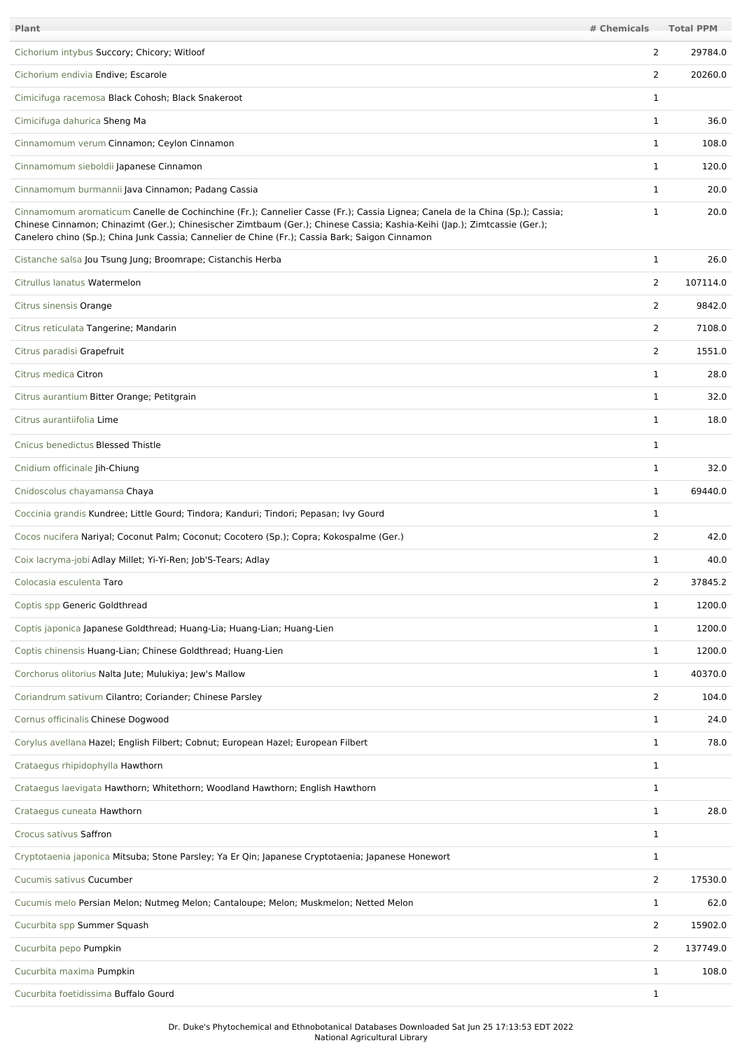| <b>Plant</b>                                                                                                                                                                                                                                                                                                                                                | # Chemicals    | <b>Total PPM</b> |
|-------------------------------------------------------------------------------------------------------------------------------------------------------------------------------------------------------------------------------------------------------------------------------------------------------------------------------------------------------------|----------------|------------------|
| Cichorium intybus Succory; Chicory; Witloof                                                                                                                                                                                                                                                                                                                 | 2              | 29784.0          |
| Cichorium endivia Endive; Escarole                                                                                                                                                                                                                                                                                                                          | 2              | 20260.0          |
| Cimicifuga racemosa Black Cohosh; Black Snakeroot                                                                                                                                                                                                                                                                                                           | $\mathbf 1$    |                  |
| Cimicifuga dahurica Sheng Ma                                                                                                                                                                                                                                                                                                                                | $\mathbf{1}$   | 36.0             |
| Cinnamomum verum Cinnamon; Ceylon Cinnamon                                                                                                                                                                                                                                                                                                                  | 1              | 108.0            |
| Cinnamomum sieboldii Japanese Cinnamon                                                                                                                                                                                                                                                                                                                      | $\mathbf{1}$   | 120.0            |
| Cinnamomum burmannii Java Cinnamon; Padang Cassia                                                                                                                                                                                                                                                                                                           | $\mathbf{1}$   | 20.0             |
| Cinnamomum aromaticum Canelle de Cochinchine (Fr.); Cannelier Casse (Fr.); Cassia Lignea; Canela de la China (Sp.); Cassia;<br>Chinese Cinnamon; Chinazimt (Ger.); Chinesischer Zimtbaum (Ger.); Chinese Cassia; Kashia-Keihi (Jap.); Zimtcassie (Ger.);<br>Canelero chino (Sp.); China Junk Cassia; Cannelier de Chine (Fr.); Cassia Bark; Saigon Cinnamon | $\mathbf{1}$   | 20.0             |
| Cistanche salsa Jou Tsung Jung; Broomrape; Cistanchis Herba                                                                                                                                                                                                                                                                                                 | $\mathbf{1}$   | 26.0             |
| Citrullus lanatus Watermelon                                                                                                                                                                                                                                                                                                                                | 2              | 107114.0         |
| Citrus sinensis Orange                                                                                                                                                                                                                                                                                                                                      | 2              | 9842.0           |
| Citrus reticulata Tangerine; Mandarin                                                                                                                                                                                                                                                                                                                       | 2              | 7108.0           |
| Citrus paradisi Grapefruit                                                                                                                                                                                                                                                                                                                                  | 2              | 1551.0           |
| Citrus medica Citron                                                                                                                                                                                                                                                                                                                                        | $\mathbf{1}$   | 28.0             |
| Citrus aurantium Bitter Orange; Petitgrain                                                                                                                                                                                                                                                                                                                  | $\mathbf 1$    | 32.0             |
| Citrus aurantiifolia Lime                                                                                                                                                                                                                                                                                                                                   | $\mathbf{1}$   | 18.0             |
| Cnicus benedictus Blessed Thistle                                                                                                                                                                                                                                                                                                                           | $\mathbf{1}$   |                  |
| Cnidium officinale Jih-Chiung                                                                                                                                                                                                                                                                                                                               | $\mathbf{1}$   | 32.0             |
| Cnidoscolus chayamansa Chaya                                                                                                                                                                                                                                                                                                                                | 1              | 69440.0          |
| Coccinia grandis Kundree; Little Gourd; Tindora; Kanduri; Tindori; Pepasan; Ivy Gourd                                                                                                                                                                                                                                                                       | $\mathbf{1}$   |                  |
| Cocos nucifera Nariyal; Coconut Palm; Coconut; Cocotero (Sp.); Copra; Kokospalme (Ger.)                                                                                                                                                                                                                                                                     | 2              | 42.0             |
| Coix lacryma-jobi Adlay Millet; Yi-Yi-Ren; Job'S-Tears; Adlay                                                                                                                                                                                                                                                                                               | $\mathbf{1}$   | 40.0             |
| Colocasia esculenta Taro                                                                                                                                                                                                                                                                                                                                    | 2              | 37845.2          |
| Coptis spp Generic Goldthread                                                                                                                                                                                                                                                                                                                               | $\mathbf 1$    | 1200.0           |
| Coptis japonica Japanese Goldthread; Huang-Lia; Huang-Lian; Huang-Lien                                                                                                                                                                                                                                                                                      | $\mathbf{1}$   | 1200.0           |
| Coptis chinensis Huang-Lian; Chinese Goldthread; Huang-Lien                                                                                                                                                                                                                                                                                                 | $\mathbf{1}$   | 1200.0           |
| Corchorus olitorius Nalta Jute; Mulukiya; Jew's Mallow                                                                                                                                                                                                                                                                                                      | $\mathbf{1}$   | 40370.0          |
| Coriandrum sativum Cilantro; Coriander; Chinese Parsley                                                                                                                                                                                                                                                                                                     | 2              | 104.0            |
| Cornus officinalis Chinese Dogwood                                                                                                                                                                                                                                                                                                                          | $\mathbf{1}$   | 24.0             |
| Corylus avellana Hazel; English Filbert; Cobnut; European Hazel; European Filbert                                                                                                                                                                                                                                                                           | $\mathbf{1}$   | 78.0             |
| Crataegus rhipidophylla Hawthorn                                                                                                                                                                                                                                                                                                                            | $\mathbf{1}$   |                  |
| Crataegus laevigata Hawthorn; Whitethorn; Woodland Hawthorn; English Hawthorn                                                                                                                                                                                                                                                                               | $\mathbf{1}$   |                  |
| Crataegus cuneata Hawthorn                                                                                                                                                                                                                                                                                                                                  | $\mathbf{1}$   | 28.0             |
| Crocus sativus Saffron                                                                                                                                                                                                                                                                                                                                      | $\mathbf{1}$   |                  |
| Cryptotaenia japonica Mitsuba; Stone Parsley; Ya Er Qin; Japanese Cryptotaenia; Japanese Honewort                                                                                                                                                                                                                                                           | 1              |                  |
| Cucumis sativus Cucumber                                                                                                                                                                                                                                                                                                                                    | 2              | 17530.0          |
| Cucumis melo Persian Melon; Nutmeg Melon; Cantaloupe; Melon; Muskmelon; Netted Melon                                                                                                                                                                                                                                                                        | 1              | 62.0             |
| Cucurbita spp Summer Squash                                                                                                                                                                                                                                                                                                                                 | $\overline{2}$ | 15902.0          |
| Cucurbita pepo Pumpkin                                                                                                                                                                                                                                                                                                                                      | 2              | 137749.0         |
| Cucurbita maxima Pumpkin                                                                                                                                                                                                                                                                                                                                    | $\mathbf{1}$   | 108.0            |
| Cucurbita foetidissima Buffalo Gourd                                                                                                                                                                                                                                                                                                                        | $\mathbf{1}$   |                  |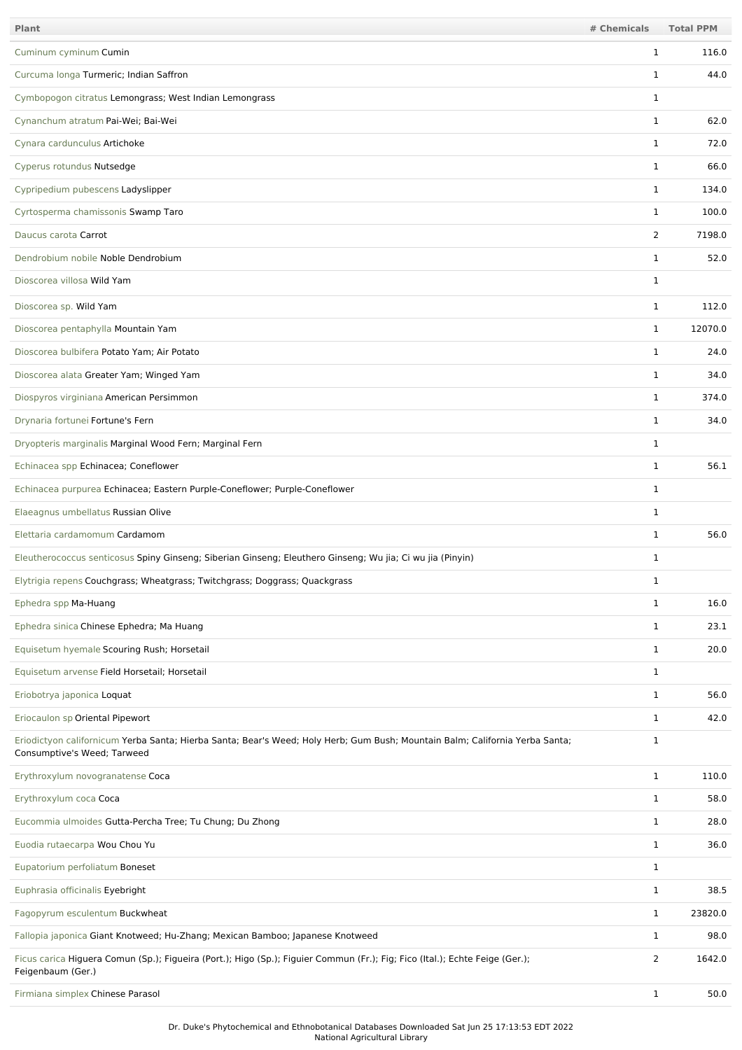| Plant                                                                                                                                                       | # Chemicals    | <b>Total PPM</b> |
|-------------------------------------------------------------------------------------------------------------------------------------------------------------|----------------|------------------|
| Cuminum cyminum Cumin                                                                                                                                       | 1              | 116.0            |
| Curcuma longa Turmeric; Indian Saffron                                                                                                                      | 1              | 44.0             |
| Cymbopogon citratus Lemongrass; West Indian Lemongrass                                                                                                      | 1              |                  |
| Cynanchum atratum Pai-Wei; Bai-Wei                                                                                                                          | 1              | 62.0             |
| Cynara cardunculus Artichoke                                                                                                                                | 1              | 72.0             |
| Cyperus rotundus Nutsedge                                                                                                                                   | 1              | 66.0             |
| Cypripedium pubescens Ladyslipper                                                                                                                           | 1              | 134.0            |
| Cyrtosperma chamissonis Swamp Taro                                                                                                                          | 1              | 100.0            |
| Daucus carota Carrot                                                                                                                                        | 2              | 7198.0           |
| Dendrobium nobile Noble Dendrobium                                                                                                                          | 1              | 52.0             |
| Dioscorea villosa Wild Yam                                                                                                                                  | $\mathbf{1}$   |                  |
| Dioscorea sp. Wild Yam                                                                                                                                      | 1              | 112.0            |
| Dioscorea pentaphylla Mountain Yam                                                                                                                          | 1              | 12070.0          |
| Dioscorea bulbifera Potato Yam; Air Potato                                                                                                                  | $\mathbf{1}$   | 24.0             |
| Dioscorea alata Greater Yam; Winged Yam                                                                                                                     | 1              | 34.0             |
| Diospyros virginiana American Persimmon                                                                                                                     | 1              | 374.0            |
| Drynaria fortunei Fortune's Fern                                                                                                                            | 1              | 34.0             |
| Dryopteris marginalis Marginal Wood Fern; Marginal Fern                                                                                                     | $\mathbf{1}$   |                  |
| Echinacea spp Echinacea; Coneflower                                                                                                                         | 1              | 56.1             |
| Echinacea purpurea Echinacea; Eastern Purple-Coneflower; Purple-Coneflower                                                                                  | $\mathbf{1}$   |                  |
| Elaeagnus umbellatus Russian Olive                                                                                                                          | 1              |                  |
| Elettaria cardamomum Cardamom                                                                                                                               | 1              | 56.0             |
| Eleutherococcus senticosus Spiny Ginseng; Siberian Ginseng; Eleuthero Ginseng; Wu jia; Ci wu jia (Pinyin)                                                   | 1              |                  |
| Elytrigia repens Couchgrass; Wheatgrass; Twitchgrass; Doggrass; Quackgrass                                                                                  | $\mathbf{1}$   |                  |
| Ephedra spp Ma-Huang                                                                                                                                        | $\mathbf{1}$   | 16.0             |
| Ephedra sinica Chinese Ephedra; Ma Huang                                                                                                                    | 1              | 23.1             |
| Equisetum hyemale Scouring Rush; Horsetail                                                                                                                  | 1              | 20.0             |
| Equisetum arvense Field Horsetail; Horsetail                                                                                                                | $\mathbf{1}$   |                  |
| Eriobotrya japonica Loquat                                                                                                                                  | 1              | 56.0             |
| Eriocaulon sp Oriental Pipewort                                                                                                                             | $\mathbf{1}$   | 42.0             |
| Eriodictyon californicum Yerba Santa; Hierba Santa; Bear's Weed; Holy Herb; Gum Bush; Mountain Balm; California Yerba Santa;<br>Consumptive's Weed; Tarweed | $\mathbf{1}$   |                  |
| Erythroxylum novogranatense Coca                                                                                                                            | $\mathbf{1}$   | 110.0            |
| Erythroxylum coca Coca                                                                                                                                      | 1              | 58.0             |
| Eucommia ulmoides Gutta-Percha Tree; Tu Chung; Du Zhong                                                                                                     | $\mathbf{1}$   | 28.0             |
| Euodia rutaecarpa Wou Chou Yu                                                                                                                               | 1              | 36.0             |
| Eupatorium perfoliatum Boneset                                                                                                                              | $\mathbf{1}$   |                  |
| Euphrasia officinalis Eyebright                                                                                                                             | 1              | 38.5             |
| Fagopyrum esculentum Buckwheat                                                                                                                              | 1              | 23820.0          |
| Fallopia japonica Giant Knotweed; Hu-Zhang; Mexican Bamboo; Japanese Knotweed                                                                               | 1              | 98.0             |
| Ficus carica Higuera Comun (Sp.); Figueira (Port.); Higo (Sp.); Figuier Commun (Fr.); Fig; Fico (Ital.); Echte Feige (Ger.);<br>Feigenbaum (Ger.)           | $\overline{2}$ | 1642.0           |
| Firmiana simplex Chinese Parasol                                                                                                                            | $\mathbf{1}$   | 50.0             |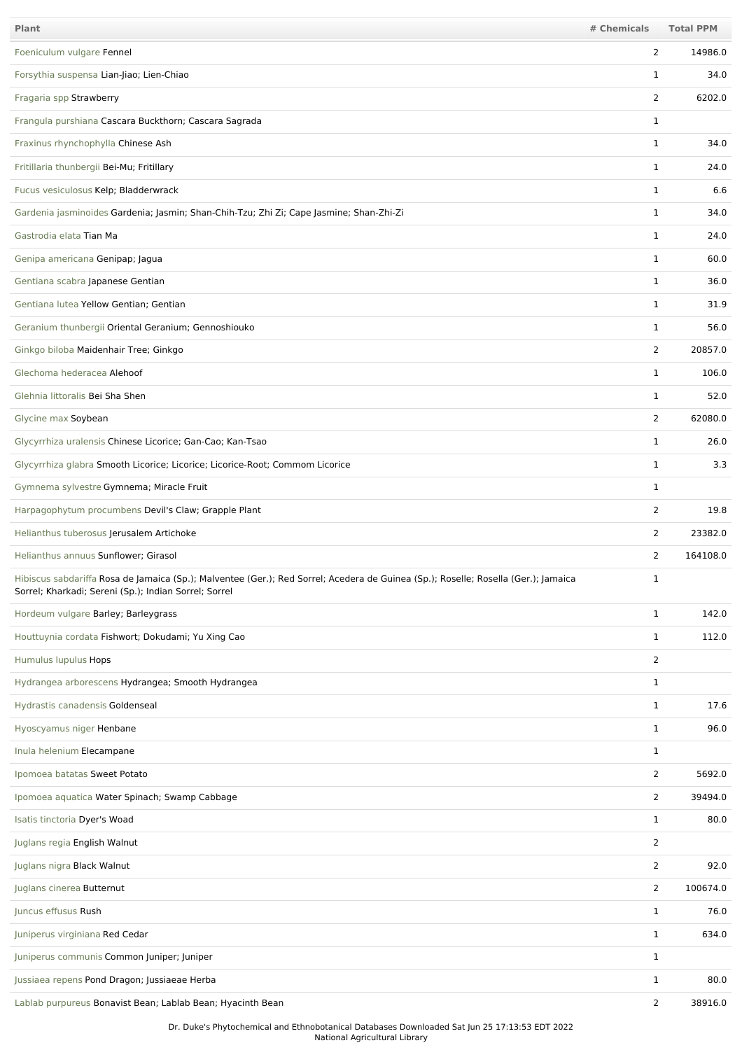| <b>Plant</b>                                                                                                                                                                                | # Chemicals    | <b>Total PPM</b> |
|---------------------------------------------------------------------------------------------------------------------------------------------------------------------------------------------|----------------|------------------|
| Foeniculum vulgare Fennel                                                                                                                                                                   | 2              | 14986.0          |
| Forsythia suspensa Lian-Jiao; Lien-Chiao                                                                                                                                                    | 1              | 34.0             |
| Fragaria spp Strawberry                                                                                                                                                                     | $\overline{2}$ | 6202.0           |
| Frangula purshiana Cascara Buckthorn; Cascara Sagrada                                                                                                                                       | 1              |                  |
| Fraxinus rhynchophylla Chinese Ash                                                                                                                                                          | $\mathbf{1}$   | 34.0             |
| Fritillaria thunbergii Bei-Mu; Fritillary                                                                                                                                                   | 1              | 24.0             |
| Fucus vesiculosus Kelp; Bladderwrack                                                                                                                                                        | $\mathbf{1}$   | 6.6              |
| Gardenia jasminoides Gardenia; Jasmin; Shan-Chih-Tzu; Zhi Zi; Cape Jasmine; Shan-Zhi-Zi                                                                                                     | 1              | 34.0             |
| Gastrodia elata Tian Ma                                                                                                                                                                     | $\mathbf{1}$   | 24.0             |
| Genipa americana Genipap; Jagua                                                                                                                                                             | $\mathbf{1}$   | 60.0             |
| Gentiana scabra Japanese Gentian                                                                                                                                                            | 1              | 36.0             |
| Gentiana lutea Yellow Gentian; Gentian                                                                                                                                                      | $\mathbf{1}$   | 31.9             |
| Geranium thunbergii Oriental Geranium; Gennoshiouko                                                                                                                                         | 1              | 56.0             |
| Ginkgo biloba Maidenhair Tree; Ginkgo                                                                                                                                                       | $\overline{2}$ | 20857.0          |
| Glechoma hederacea Alehoof                                                                                                                                                                  | $\mathbf{1}$   | 106.0            |
| Glehnia littoralis Bei Sha Shen                                                                                                                                                             | $\mathbf{1}$   | 52.0             |
| Glycine max Soybean                                                                                                                                                                         | $\overline{2}$ | 62080.0          |
| Glycyrrhiza uralensis Chinese Licorice; Gan-Cao; Kan-Tsao                                                                                                                                   | $\mathbf{1}$   | 26.0             |
| Glycyrrhiza glabra Smooth Licorice; Licorice; Licorice-Root; Commom Licorice                                                                                                                | $\mathbf{1}$   | 3.3              |
| Gymnema sylvestre Gymnema; Miracle Fruit                                                                                                                                                    | $\mathbf{1}$   |                  |
| Harpagophytum procumbens Devil's Claw; Grapple Plant                                                                                                                                        | 2              | 19.8             |
| Helianthus tuberosus Jerusalem Artichoke                                                                                                                                                    | 2              | 23382.0          |
| Helianthus annuus Sunflower; Girasol                                                                                                                                                        | 2              | 164108.0         |
| Hibiscus sabdariffa Rosa de Jamaica (Sp.); Malventee (Ger.); Red Sorrel; Acedera de Guinea (Sp.); Roselle; Rosella (Ger.); Jamaica<br>Sorrel; Kharkadi; Sereni (Sp.); Indian Sorrel; Sorrel | 1              |                  |
| Hordeum vulgare Barley; Barleygrass                                                                                                                                                         | $\mathbf{1}$   | 142.0            |
| Houttuynia cordata Fishwort; Dokudami; Yu Xing Cao                                                                                                                                          | $\mathbf{1}$   | 112.0            |
| Humulus lupulus Hops                                                                                                                                                                        | $\overline{2}$ |                  |
| Hydrangea arborescens Hydrangea; Smooth Hydrangea                                                                                                                                           | $\mathbf{1}$   |                  |
| Hydrastis canadensis Goldenseal                                                                                                                                                             | $\mathbf 1$    | 17.6             |
| Hyoscyamus niger Henbane                                                                                                                                                                    | $\mathbf{1}$   | 96.0             |
| Inula helenium Elecampane                                                                                                                                                                   | $\mathbf 1$    |                  |
| Ipomoea batatas Sweet Potato                                                                                                                                                                | $\overline{2}$ | 5692.0           |
| Ipomoea aquatica Water Spinach; Swamp Cabbage                                                                                                                                               | $\overline{2}$ | 39494.0          |
| Isatis tinctoria Dyer's Woad                                                                                                                                                                | $\mathbf{1}$   | 80.0             |
| Juglans regia English Walnut                                                                                                                                                                | $\overline{2}$ |                  |
| Juglans nigra Black Walnut                                                                                                                                                                  | $\overline{2}$ | 92.0             |
| Juglans cinerea Butternut                                                                                                                                                                   | $\overline{2}$ | 100674.0         |
| Juncus effusus Rush                                                                                                                                                                         | $\mathbf{1}$   | 76.0             |
| Juniperus virginiana Red Cedar                                                                                                                                                              | $\mathbf{1}$   | 634.0            |
| Juniperus communis Common Juniper; Juniper                                                                                                                                                  | $\mathbf 1$    |                  |
| Jussiaea repens Pond Dragon; Jussiaeae Herba                                                                                                                                                | $\mathbf{1}$   | 80.0             |
| Lablab purpureus Bonavist Bean; Lablab Bean; Hyacinth Bean                                                                                                                                  | $\overline{2}$ | 38916.0          |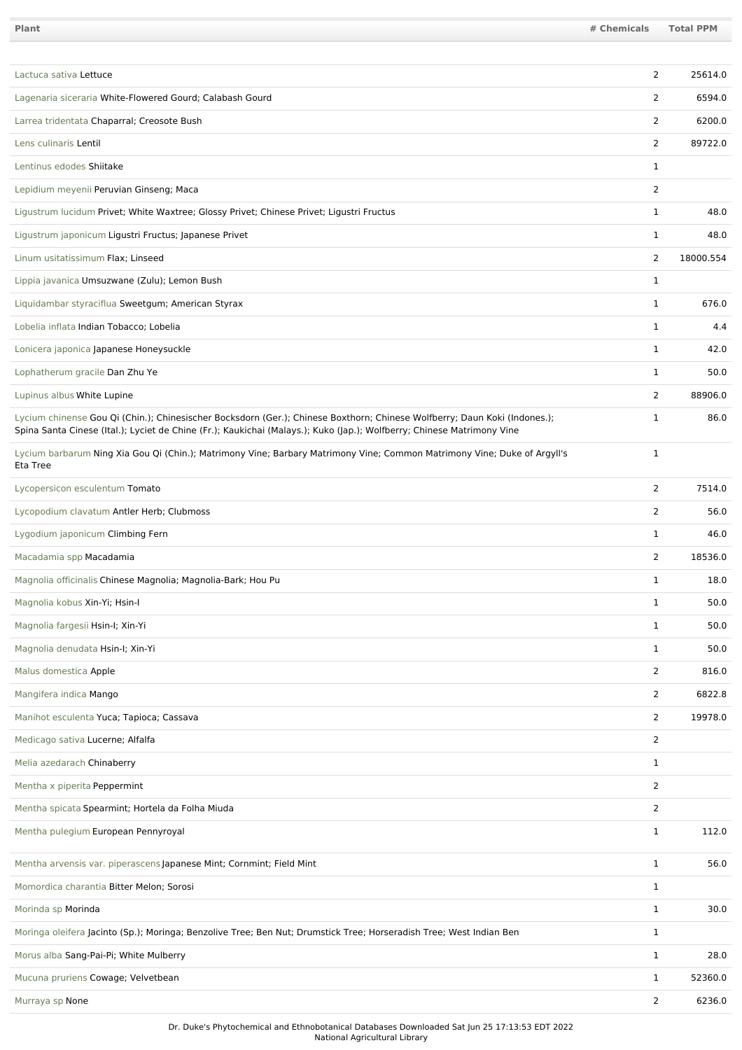| Plant                                                                                                                                                                                                                                               | # Chemicals    | <b>Total PPM</b> |
|-----------------------------------------------------------------------------------------------------------------------------------------------------------------------------------------------------------------------------------------------------|----------------|------------------|
|                                                                                                                                                                                                                                                     |                |                  |
| Lactuca sativa Lettuce                                                                                                                                                                                                                              | 2              | 25614.0          |
| Lagenaria siceraria White-Flowered Gourd; Calabash Gourd                                                                                                                                                                                            | 2              | 6594.0           |
| Larrea tridentata Chaparral; Creosote Bush                                                                                                                                                                                                          | 2              | 6200.0           |
| Lens culinaris Lentil                                                                                                                                                                                                                               | $\overline{2}$ | 89722.0          |
| Lentinus edodes Shiitake                                                                                                                                                                                                                            | 1              |                  |
| Lepidium meyenii Peruvian Ginseng; Maca                                                                                                                                                                                                             | $\overline{2}$ |                  |
| Ligustrum lucidum Privet; White Waxtree; Glossy Privet; Chinese Privet; Ligustri Fructus                                                                                                                                                            | 1              | 48.0             |
| Ligustrum japonicum Ligustri Fructus; Japanese Privet                                                                                                                                                                                               | $\mathbf{1}$   | 48.0             |
| Linum usitatissimum Flax; Linseed                                                                                                                                                                                                                   | 2              | 18000.554        |
| Lippia javanica Umsuzwane (Zulu); Lemon Bush                                                                                                                                                                                                        | 1              |                  |
| Liquidambar styraciflua Sweetgum; American Styrax                                                                                                                                                                                                   | 1              | 676.0            |
| Lobelia inflata Indian Tobacco; Lobelia                                                                                                                                                                                                             | 1              | 4.4              |
| Lonicera japonica Japanese Honeysuckle                                                                                                                                                                                                              | 1              | 42.0             |
| Lophatherum gracile Dan Zhu Ye                                                                                                                                                                                                                      | 1              | 50.0             |
| Lupinus albus White Lupine                                                                                                                                                                                                                          | 2              | 88906.0          |
| Lycium chinense Gou Qi (Chin.); Chinesischer Bocksdorn (Ger.); Chinese Boxthorn; Chinese Wolfberry; Daun Koki (Indones.);<br>Spina Santa Cinese (Ital.); Lyciet de Chine (Fr.); Kaukichai (Malays.); Kuko (Jap.); Wolfberry; Chinese Matrimony Vine | 1              | 86.0             |
| Lycium barbarum Ning Xia Gou Qi (Chin.); Matrimony Vine; Barbary Matrimony Vine; Common Matrimony Vine; Duke of Argyll's<br>Eta Tree                                                                                                                | $\mathbf{1}$   |                  |
| Lycopersicon esculentum Tomato                                                                                                                                                                                                                      | 2              | 7514.0           |
| Lycopodium clavatum Antler Herb; Clubmoss                                                                                                                                                                                                           | 2              | 56.0             |
| Lygodium japonicum Climbing Fern                                                                                                                                                                                                                    | $\mathbf{1}$   | 46.0             |
| Macadamia spp Macadamia                                                                                                                                                                                                                             | 2              | 18536.0          |
| Magnolia officinalis Chinese Magnolia; Magnolia-Bark; Hou Pu                                                                                                                                                                                        | 1              | 18.0             |
| Magnolia kobus Xin-Yi; Hsin-I                                                                                                                                                                                                                       | $\mathbf{1}$   | 50.0             |
| Magnolia fargesii Hsin-I; Xin-Yi                                                                                                                                                                                                                    | 1              | 50.0             |
| Magnolia denudata Hsin-I; Xin-Yi                                                                                                                                                                                                                    | $\mathbf{1}$   | 50.0             |
| Malus domestica Apple                                                                                                                                                                                                                               | 2              | 816.0            |
| Mangifera indica Mango                                                                                                                                                                                                                              | $\overline{2}$ | 6822.8           |
| Manihot esculenta Yuca; Tapioca; Cassava                                                                                                                                                                                                            | 2              | 19978.0          |
| Medicago sativa Lucerne; Alfalfa                                                                                                                                                                                                                    | $\overline{2}$ |                  |
| Melia azedarach Chinaberry                                                                                                                                                                                                                          | 1              |                  |
| Mentha x piperita Peppermint                                                                                                                                                                                                                        | $\overline{2}$ |                  |
| Mentha spicata Spearmint; Hortela da Folha Miuda                                                                                                                                                                                                    | $\overline{2}$ |                  |
| Mentha pulegium European Pennyroyal                                                                                                                                                                                                                 | $\mathbf{1}$   | 112.0            |
| Mentha arvensis var. piperascens Japanese Mint; Cornmint; Field Mint                                                                                                                                                                                | 1              | 56.0             |
| Momordica charantia Bitter Melon; Sorosi                                                                                                                                                                                                            | $\mathbf{1}$   |                  |
| Morinda sp Morinda                                                                                                                                                                                                                                  | 1              | 30.0             |
| Moringa oleifera Jacinto (Sp.); Moringa; Benzolive Tree; Ben Nut; Drumstick Tree; Horseradish Tree; West Indian Ben                                                                                                                                 | $\mathbf{1}$   |                  |
| Morus alba Sang-Pai-Pi; White Mulberry                                                                                                                                                                                                              | 1              | 28.0             |
| Mucuna pruriens Cowage; Velvetbean                                                                                                                                                                                                                  | 1              | 52360.0          |
| Murraya sp None                                                                                                                                                                                                                                     | 2              | 6236.0           |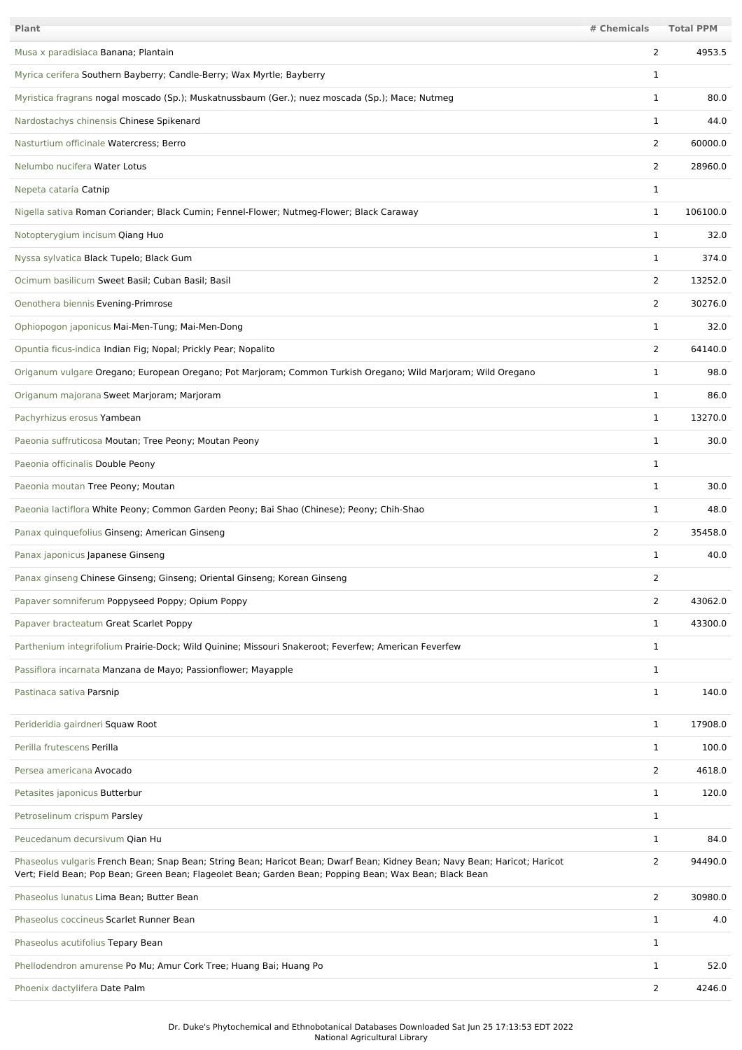| <b>Plant</b>                                                                                                                                                                                                                          | # Chemicals    | <b>Total PPM</b> |
|---------------------------------------------------------------------------------------------------------------------------------------------------------------------------------------------------------------------------------------|----------------|------------------|
| Musa x paradisiaca Banana; Plantain                                                                                                                                                                                                   | 2              | 4953.5           |
| Myrica cerifera Southern Bayberry; Candle-Berry; Wax Myrtle; Bayberry                                                                                                                                                                 | 1              |                  |
| Myristica fragrans nogal moscado (Sp.); Muskatnussbaum (Ger.); nuez moscada (Sp.); Mace; Nutmeg                                                                                                                                       | $\mathbf{1}$   | 80.0             |
| Nardostachys chinensis Chinese Spikenard                                                                                                                                                                                              | 1              | 44.0             |
| Nasturtium officinale Watercress; Berro                                                                                                                                                                                               | $\overline{2}$ | 60000.0          |
| Nelumbo nucifera Water Lotus                                                                                                                                                                                                          | 2              | 28960.0          |
| Nepeta cataria Catnip                                                                                                                                                                                                                 | $\mathbf{1}$   |                  |
| Nigella sativa Roman Coriander; Black Cumin; Fennel-Flower; Nutmeg-Flower; Black Caraway                                                                                                                                              | $\mathbf{1}$   | 106100.0         |
| Notopterygium incisum Qiang Huo                                                                                                                                                                                                       | 1              | 32.0             |
| Nyssa sylvatica Black Tupelo; Black Gum                                                                                                                                                                                               | 1              | 374.0            |
| Ocimum basilicum Sweet Basil; Cuban Basil; Basil                                                                                                                                                                                      | 2              | 13252.0          |
| Oenothera biennis Evening-Primrose                                                                                                                                                                                                    | 2              | 30276.0          |
| Ophiopogon japonicus Mai-Men-Tung; Mai-Men-Dong                                                                                                                                                                                       | 1              | 32.0             |
| Opuntia ficus-indica Indian Fig; Nopal; Prickly Pear; Nopalito                                                                                                                                                                        | 2              | 64140.0          |
| Origanum vulgare Oregano; European Oregano; Pot Marjoram; Common Turkish Oregano; Wild Marjoram; Wild Oregano                                                                                                                         | 1              | 98.0             |
| Origanum majorana Sweet Marjoram; Marjoram                                                                                                                                                                                            | $\mathbf{1}$   | 86.0             |
| Pachyrhizus erosus Yambean                                                                                                                                                                                                            | $\mathbf{1}$   | 13270.0          |
| Paeonia suffruticosa Moutan; Tree Peony; Moutan Peony                                                                                                                                                                                 | $\mathbf{1}$   | 30.0             |
| Paeonia officinalis Double Peony                                                                                                                                                                                                      | 1              |                  |
| Paeonia moutan Tree Peony; Moutan                                                                                                                                                                                                     | $\mathbf{1}$   | 30.0             |
| Paeonia lactiflora White Peony; Common Garden Peony; Bai Shao (Chinese); Peony; Chih-Shao                                                                                                                                             | 1              | 48.0             |
| Panax quinquefolius Ginseng; American Ginseng                                                                                                                                                                                         | 2              | 35458.0          |
| Panax japonicus Japanese Ginseng                                                                                                                                                                                                      | 1              | 40.0             |
| Panax ginseng Chinese Ginseng; Ginseng; Oriental Ginseng; Korean Ginseng                                                                                                                                                              | 2              |                  |
| Papaver somniferum Poppyseed Poppy; Opium Poppy                                                                                                                                                                                       | 2              | 43062.0          |
| Papaver bracteatum Great Scarlet Poppy                                                                                                                                                                                                | $\mathbf{1}$   | 43300.0          |
| Parthenium integrifolium Prairie-Dock; Wild Quinine; Missouri Snakeroot; Feverfew; American Feverfew                                                                                                                                  | $\mathbf{1}$   |                  |
| Passiflora incarnata Manzana de Mayo; Passionflower; Mayapple                                                                                                                                                                         | $\mathbf{1}$   |                  |
| Pastinaca sativa Parsnip                                                                                                                                                                                                              | $\mathbf{1}$   | 140.0            |
| Perideridia gairdneri Squaw Root                                                                                                                                                                                                      | $\mathbf{1}$   | 17908.0          |
| Perilla frutescens Perilla                                                                                                                                                                                                            | $\mathbf{1}$   | 100.0            |
| Persea americana Avocado                                                                                                                                                                                                              | 2              | 4618.0           |
| Petasites japonicus Butterbur                                                                                                                                                                                                         | $\mathbf{1}$   | 120.0            |
| Petroselinum crispum Parsley                                                                                                                                                                                                          | $\mathbf{1}$   |                  |
| Peucedanum decursivum Qian Hu                                                                                                                                                                                                         | $\mathbf{1}$   | 84.0             |
| Phaseolus vulgaris French Bean; Snap Bean; String Bean; Haricot Bean; Dwarf Bean; Kidney Bean; Navy Bean; Haricot; Haricot<br>Vert; Field Bean; Pop Bean; Green Bean; Flageolet Bean; Garden Bean; Popping Bean; Wax Bean; Black Bean | 2              | 94490.0          |
| Phaseolus lunatus Lima Bean; Butter Bean                                                                                                                                                                                              | $\overline{2}$ | 30980.0          |
| Phaseolus coccineus Scarlet Runner Bean                                                                                                                                                                                               | $\mathbf{1}$   | 4.0              |
| Phaseolus acutifolius Tepary Bean                                                                                                                                                                                                     | $\mathbf{1}$   |                  |
| Phellodendron amurense Po Mu; Amur Cork Tree; Huang Bai; Huang Po                                                                                                                                                                     | $\mathbf{1}$   | 52.0             |
| Phoenix dactylifera Date Palm                                                                                                                                                                                                         | $\overline{2}$ | 4246.0           |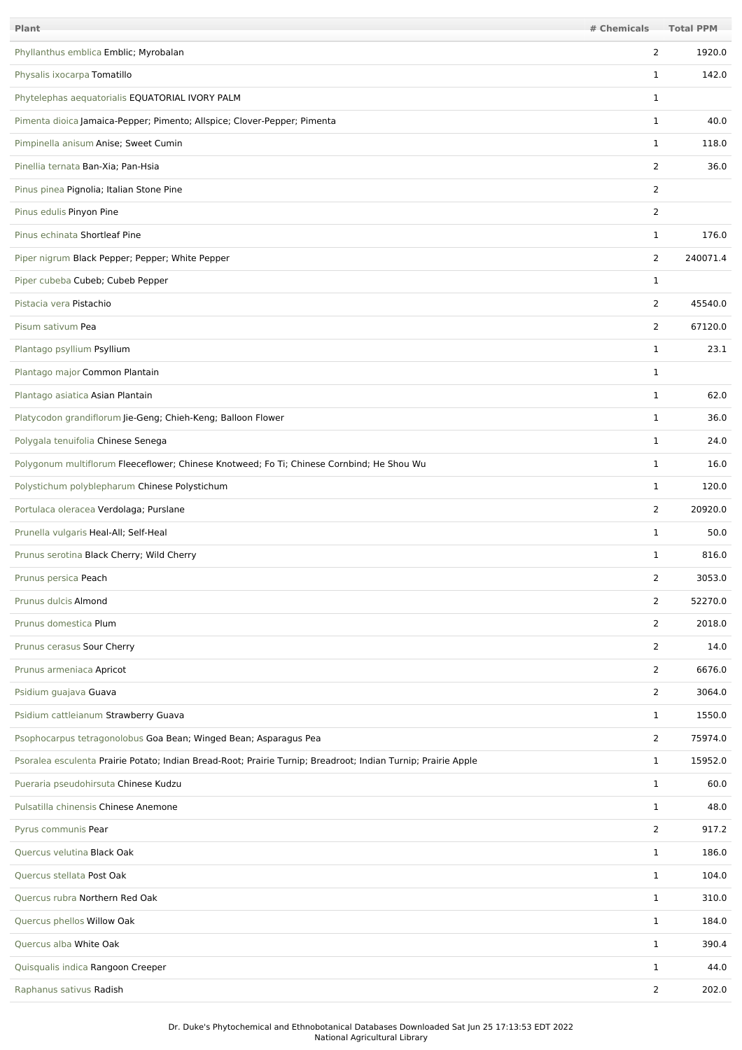| Plant                                                                                                         | # Chemicals    | <b>Total PPM</b> |
|---------------------------------------------------------------------------------------------------------------|----------------|------------------|
| Phyllanthus emblica Emblic; Myrobalan                                                                         | $\overline{2}$ | 1920.0           |
| Physalis ixocarpa Tomatillo                                                                                   | $\mathbf{1}$   | 142.0            |
| Phytelephas aequatorialis EQUATORIAL IVORY PALM                                                               | $\mathbf 1$    |                  |
| Pimenta dioica Jamaica-Pepper; Pimento; Allspice; Clover-Pepper; Pimenta                                      | $\mathbf{1}$   | 40.0             |
| Pimpinella anisum Anise; Sweet Cumin                                                                          | $\mathbf{1}$   | 118.0            |
| Pinellia ternata Ban-Xia; Pan-Hsia                                                                            | 2              | 36.0             |
| Pinus pinea Pignolia; Italian Stone Pine                                                                      | $\overline{2}$ |                  |
| Pinus edulis Pinyon Pine                                                                                      | $\overline{2}$ |                  |
| Pinus echinata Shortleaf Pine                                                                                 | $\mathbf{1}$   | 176.0            |
| Piper nigrum Black Pepper; Pepper; White Pepper                                                               | 2              | 240071.4         |
| Piper cubeba Cubeb; Cubeb Pepper                                                                              | $\mathbf{1}$   |                  |
| Pistacia vera Pistachio                                                                                       | $\overline{2}$ | 45540.0          |
| Pisum sativum Pea                                                                                             | 2              | 67120.0          |
| Plantago psyllium Psyllium                                                                                    | $\mathbf{1}$   | 23.1             |
| Plantago major Common Plantain                                                                                | $\mathbf{1}$   |                  |
| Plantago asiatica Asian Plantain                                                                              | $\mathbf{1}$   | 62.0             |
| Platycodon grandiflorum Jie-Geng; Chieh-Keng; Balloon Flower                                                  | 1              | 36.0             |
| Polygala tenuifolia Chinese Senega                                                                            | $\mathbf{1}$   | 24.0             |
| Polygonum multiflorum Fleeceflower; Chinese Knotweed; Fo Ti; Chinese Cornbind; He Shou Wu                     | $\mathbf{1}$   | 16.0             |
| Polystichum polyblepharum Chinese Polystichum                                                                 | $\mathbf{1}$   | 120.0            |
| Portulaca oleracea Verdolaga; Purslane                                                                        | 2              | 20920.0          |
| Prunella vulgaris Heal-All; Self-Heal                                                                         | $\mathbf{1}$   | 50.0             |
| Prunus serotina Black Cherry; Wild Cherry                                                                     | 1              | 816.0            |
| Prunus persica Peach                                                                                          | 2              | 3053.0           |
| Prunus dulcis Almond                                                                                          | $\overline{2}$ | 52270.0          |
| Prunus domestica Plum                                                                                         | $\overline{2}$ | 2018.0           |
| Prunus cerasus Sour Cherry                                                                                    | $\overline{2}$ | 14.0             |
| Prunus armeniaca Apricot                                                                                      | 2              | 6676.0           |
| Psidium guajava Guava                                                                                         | $\overline{2}$ | 3064.0           |
| Psidium cattleianum Strawberry Guava                                                                          | $\mathbf{1}$   | 1550.0           |
| Psophocarpus tetragonolobus Goa Bean; Winged Bean; Asparagus Pea                                              | $\overline{2}$ | 75974.0          |
| Psoralea esculenta Prairie Potato; Indian Bread-Root; Prairie Turnip; Breadroot; Indian Turnip; Prairie Apple | $\mathbf{1}$   | 15952.0          |
| Pueraria pseudohirsuta Chinese Kudzu                                                                          | $\mathbf{1}$   | 60.0             |
| Pulsatilla chinensis Chinese Anemone                                                                          | $\mathbf{1}$   | 48.0             |
| Pyrus communis Pear                                                                                           | $\overline{2}$ | 917.2            |
| Quercus velutina Black Oak                                                                                    | $\mathbf{1}$   | 186.0            |
| Quercus stellata Post Oak                                                                                     | $\mathbf{1}$   | 104.0            |
| Quercus rubra Northern Red Oak                                                                                | $\mathbf{1}$   | 310.0            |
| Quercus phellos Willow Oak                                                                                    | $\mathbf{1}$   | 184.0            |
| Quercus alba White Oak                                                                                        | $\mathbf{1}$   | 390.4            |
| Quisqualis indica Rangoon Creeper                                                                             | $\mathbf{1}$   | 44.0             |
| Raphanus sativus Radish                                                                                       | $\overline{2}$ | 202.0            |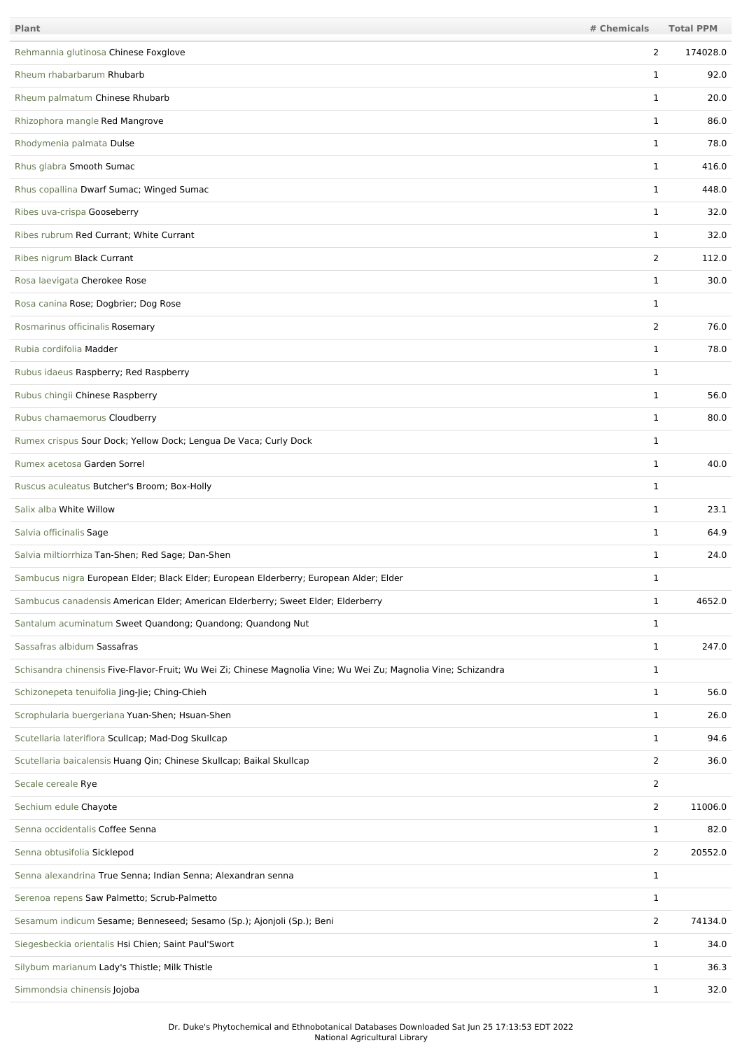| Plant                                                                                                          | # Chemicals    | <b>Total PPM</b> |
|----------------------------------------------------------------------------------------------------------------|----------------|------------------|
| Rehmannia glutinosa Chinese Foxglove                                                                           | $\overline{2}$ | 174028.0         |
| Rheum rhabarbarum Rhubarb                                                                                      | 1              | 92.0             |
| Rheum palmatum Chinese Rhubarb                                                                                 | $\mathbf{1}$   | 20.0             |
| Rhizophora mangle Red Mangrove                                                                                 | 1              | 86.0             |
| Rhodymenia palmata Dulse                                                                                       | $\mathbf{1}$   | 78.0             |
| Rhus glabra Smooth Sumac                                                                                       | $\mathbf{1}$   | 416.0            |
| Rhus copallina Dwarf Sumac; Winged Sumac                                                                       | $\mathbf{1}$   | 448.0            |
| Ribes uva-crispa Gooseberry                                                                                    | 1              | 32.0             |
| Ribes rubrum Red Currant; White Currant                                                                        | $\mathbf{1}$   | 32.0             |
| Ribes nigrum Black Currant                                                                                     | $\overline{2}$ | 112.0            |
| Rosa laevigata Cherokee Rose                                                                                   | $\mathbf{1}$   | 30.0             |
| Rosa canina Rose; Dogbrier; Dog Rose                                                                           | $\mathbf{1}$   |                  |
| Rosmarinus officinalis Rosemary                                                                                | $\overline{2}$ | 76.0             |
| Rubia cordifolia Madder                                                                                        | $\mathbf{1}$   | 78.0             |
| Rubus idaeus Raspberry; Red Raspberry                                                                          | $\mathbf{1}$   |                  |
| Rubus chingii Chinese Raspberry                                                                                | $\mathbf{1}$   | 56.0             |
| Rubus chamaemorus Cloudberry                                                                                   | 1              | 80.0             |
| Rumex crispus Sour Dock; Yellow Dock; Lengua De Vaca; Curly Dock                                               | 1              |                  |
| Rumex acetosa Garden Sorrel                                                                                    | 1              | 40.0             |
| Ruscus aculeatus Butcher's Broom; Box-Holly                                                                    | $\mathbf{1}$   |                  |
| Salix alba White Willow                                                                                        | 1              | 23.1             |
| Salvia officinalis Sage                                                                                        | $\mathbf{1}$   | 64.9             |
| Salvia miltiorrhiza Tan-Shen; Red Sage; Dan-Shen                                                               | $\mathbf 1$    | 24.0             |
| Sambucus nigra European Elder; Black Elder; European Elderberry; European Alder; Elder                         | 1              |                  |
| Sambucus canadensis American Elder; American Elderberry; Sweet Elder; Elderberry                               | $\mathbf{1}$   | 4652.0           |
| Santalum acuminatum Sweet Quandong; Quandong; Quandong Nut                                                     | 1              |                  |
| Sassafras albidum Sassafras                                                                                    | $\mathbf{1}$   | 247.0            |
| Schisandra chinensis Five-Flavor-Fruit; Wu Wei Zi; Chinese Magnolia Vine; Wu Wei Zu; Magnolia Vine; Schizandra | $\mathbf{1}$   |                  |
| Schizonepeta tenuifolia Jing-Jie; Ching-Chieh                                                                  | $\mathbf{1}$   | 56.0             |
| Scrophularia buergeriana Yuan-Shen; Hsuan-Shen                                                                 | $\mathbf{1}$   | 26.0             |
| Scutellaria lateriflora Scullcap; Mad-Dog Skullcap                                                             | $\mathbf{1}$   | 94.6             |
| Scutellaria baicalensis Huang Qin; Chinese Skullcap; Baikal Skullcap                                           | $\overline{2}$ | 36.0             |
| Secale cereale Rye                                                                                             | $\overline{2}$ |                  |
| Sechium edule Chayote                                                                                          | $\overline{2}$ | 11006.0          |
| Senna occidentalis Coffee Senna                                                                                | $\mathbf{1}$   | 82.0             |
| Senna obtusifolia Sicklepod                                                                                    | $\overline{2}$ | 20552.0          |
| Senna alexandrina True Senna; Indian Senna; Alexandran senna                                                   | $\mathbf{1}$   |                  |
| Serenoa repens Saw Palmetto; Scrub-Palmetto                                                                    | $\mathbf{1}$   |                  |
| Sesamum indicum Sesame; Benneseed; Sesamo (Sp.); Ajonjoli (Sp.); Beni                                          | $\overline{2}$ | 74134.0          |
| Siegesbeckia orientalis Hsi Chien; Saint Paul'Swort                                                            | $\mathbf{1}$   | 34.0             |
| Silybum marianum Lady's Thistle; Milk Thistle                                                                  | $\mathbf{1}$   | 36.3             |
| Simmondsia chinensis Jojoba                                                                                    | $\mathbf{1}$   | 32.0             |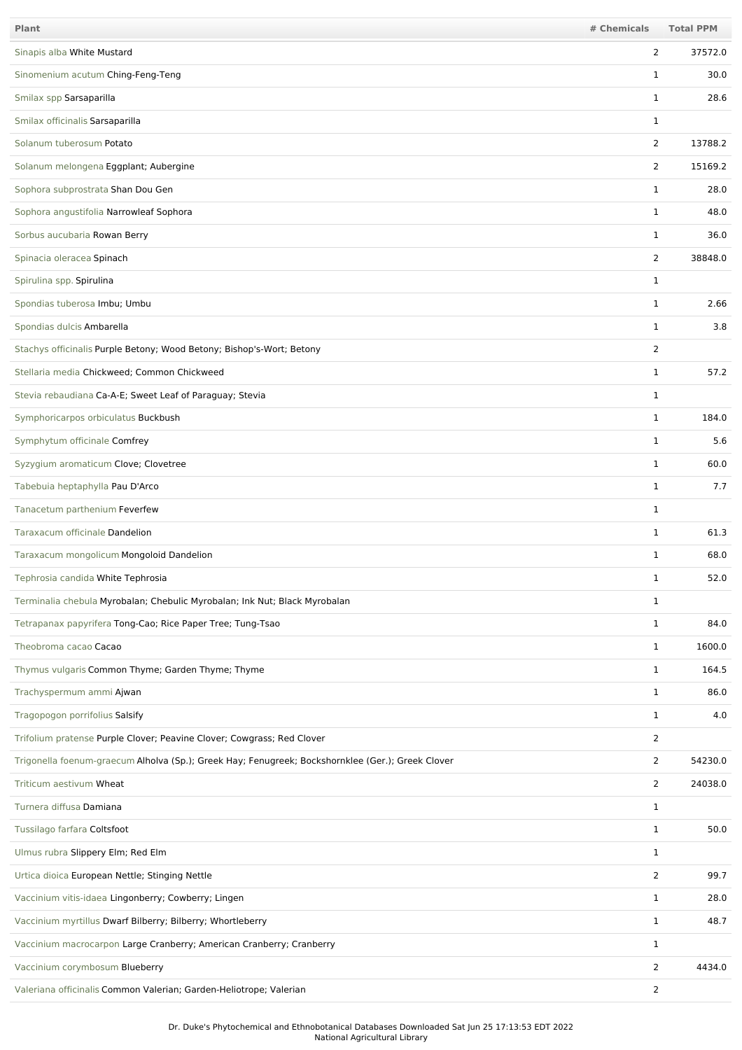| Plant                                                                                             | # Chemicals    | <b>Total PPM</b> |
|---------------------------------------------------------------------------------------------------|----------------|------------------|
| Sinapis alba White Mustard                                                                        | 2              | 37572.0          |
| Sinomenium acutum Ching-Feng-Teng                                                                 | $\mathbf 1$    | 30.0             |
| Smilax spp Sarsaparilla                                                                           | $\mathbf 1$    | 28.6             |
| Smilax officinalis Sarsaparilla                                                                   | 1              |                  |
| Solanum tuberosum Potato                                                                          | $\overline{2}$ | 13788.2          |
| Solanum melongena Eggplant; Aubergine                                                             | 2              | 15169.2          |
| Sophora subprostrata Shan Dou Gen                                                                 | 1              | 28.0             |
| Sophora angustifolia Narrowleaf Sophora                                                           | $\mathbf{1}$   | 48.0             |
| Sorbus aucubaria Rowan Berry                                                                      | $\mathbf{1}$   | 36.0             |
| Spinacia oleracea Spinach                                                                         | 2              | 38848.0          |
| Spirulina spp. Spirulina                                                                          | $\mathbf{1}$   |                  |
| Spondias tuberosa Imbu; Umbu                                                                      | $\mathbf 1$    | 2.66             |
| Spondias dulcis Ambarella                                                                         | $\mathbf 1$    | 3.8              |
| Stachys officinalis Purple Betony; Wood Betony; Bishop's-Wort; Betony                             | $\overline{2}$ |                  |
| Stellaria media Chickweed; Common Chickweed                                                       | $\mathbf 1$    | 57.2             |
| Stevia rebaudiana Ca-A-E; Sweet Leaf of Paraguay; Stevia                                          | 1              |                  |
| Symphoricarpos orbiculatus Buckbush                                                               | $\mathbf 1$    | 184.0            |
| Symphytum officinale Comfrey                                                                      | $\mathbf 1$    | 5.6              |
| Syzygium aromaticum Clove; Clovetree                                                              | $\mathbf 1$    | 60.0             |
| Tabebuia heptaphylla Pau D'Arco                                                                   | $\mathbf 1$    | 7.7              |
| Tanacetum parthenium Feverfew                                                                     | $\mathbf 1$    |                  |
| Taraxacum officinale Dandelion                                                                    | $\mathbf{1}$   | 61.3             |
| Taraxacum mongolicum Mongoloid Dandelion                                                          | $\mathbf 1$    | 68.0             |
| Tephrosia candida White Tephrosia                                                                 | 1              | 52.0             |
| Terminalia chebula Myrobalan; Chebulic Myrobalan; Ink Nut; Black Myrobalan                        | $\mathbf{1}$   |                  |
| Tetrapanax papyrifera Tong-Cao; Rice Paper Tree; Tung-Tsao                                        | $\mathbf{1}$   | 84.0             |
| Theobroma cacao Cacao                                                                             | $\mathbf{1}$   | 1600.0           |
| Thymus vulgaris Common Thyme; Garden Thyme; Thyme                                                 | $\mathbf{1}$   | 164.5            |
| Trachyspermum ammi Ajwan                                                                          | $\mathbf{1}$   | 86.0             |
| Tragopogon porrifolius Salsify                                                                    | $\mathbf{1}$   | 4.0              |
| Trifolium pratense Purple Clover; Peavine Clover; Cowgrass; Red Clover                            | $\overline{2}$ |                  |
| Trigonella foenum-graecum Alholva (Sp.); Greek Hay; Fenugreek; Bockshornklee (Ger.); Greek Clover | $\overline{2}$ | 54230.0          |
| Triticum aestivum Wheat                                                                           | $\overline{2}$ | 24038.0          |
| Turnera diffusa Damiana                                                                           | $\mathbf{1}$   |                  |
| Tussilago farfara Coltsfoot                                                                       | $\mathbf{1}$   | 50.0             |
| Ulmus rubra Slippery Elm; Red Elm                                                                 | $\mathbf{1}$   |                  |
| Urtica dioica European Nettle; Stinging Nettle                                                    | $\overline{2}$ | 99.7             |
| Vaccinium vitis-idaea Lingonberry; Cowberry; Lingen                                               | $\mathbf{1}$   | 28.0             |
| Vaccinium myrtillus Dwarf Bilberry; Bilberry; Whortleberry                                        | $\mathbf{1}$   | 48.7             |
| Vaccinium macrocarpon Large Cranberry; American Cranberry; Cranberry                              | $\mathbf{1}$   |                  |
| Vaccinium corymbosum Blueberry                                                                    | 2              | 4434.0           |
| Valeriana officinalis Common Valerian; Garden-Heliotrope; Valerian                                | $\overline{2}$ |                  |